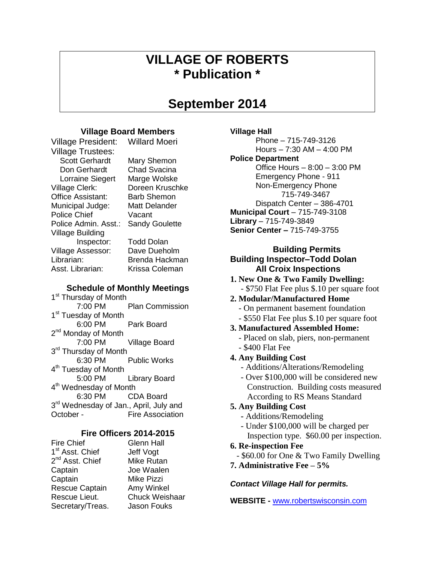# **VILLAGE OF ROBERTS \* Publication \***

# **September 2014**

# **Village Board Members**

Village President: Willard Moeri

Village Trustees: Scott Gerhardt Mary Shemon Don Gerhardt Chad Svacina Lorraine Siegert Marge Wolske Village Clerk: Doreen Kruschke Office Assistant: Barb Shemon Municipal Judge: Matt Delander Police Chief Vacant Police Admin. Asst.: Sandy Goulette Village Building Inspector: Todd Dolan Village Assessor: Dave Dueholm Librarian: Brenda Hackman Asst. Librarian: Krissa Coleman

# **Schedule of Monthly Meetings**

1<sup>st</sup> Thursday of Month 7:00 PM Plan Commission 1<sup>st</sup> Tuesday of Month 6:00 PM Park Board 2<sup>nd</sup> Monday of Month 7:00 PM Village Board 3<sup>rd</sup> Thursday of Month 6:30 PM Public Works 4<sup>th</sup> Tuesday of Month 5:00 PM Library Board 4<sup>th</sup> Wednesday of Month 6:30 PM CDA Board 3<sup>rd</sup> Wednesday of Jan., April, July and October - Fire Association

# **Fire Officers 2014-2015**

| <b>Glenn Hall</b>     |
|-----------------------|
| Jeff Vogt             |
| Mike Rutan            |
| Joe Waalen            |
| Mike Pizzi            |
| Amy Winkel            |
| <b>Chuck Weishaar</b> |
| Jason Fouks           |
|                       |

## **Village Hall**

Phone – 715-749-3126 Hours – 7:30 AM – 4:00 PM

### **Police Department**

Office Hours – 8:00 – 3:00 PM Emergency Phone - 911 Non-Emergency Phone 715-749-3467 Dispatch Center – 386-4701 **Municipal Court** – 715-749-3108 **Library** – 715-749-3849 **Senior Center –** 715-749-3755

# **Building Permits Building Inspector–Todd Dolan All Croix Inspections**

**1. New One & Two Family Dwelling:** - \$750 Flat Fee plus \$.10 per square foot

# **2. Modular/Manufactured Home**

- On permanent basement foundation
- \$550 Flat Fee plus \$.10 per square foot
- **3. Manufactured Assembled Home:**
	- Placed on slab, piers, non-permanent
	- \$400 Flat Fee
- **4. Any Building Cost**
	- Additions/Alterations/Remodeling
	- Over \$100,000 will be considered new Construction. Building costs measured According to RS Means Standard

# **5. Any Building Cost**

- **-** Additions/Remodeling
- Under \$100,000 will be charged per
- Inspection type. \$60.00 per inspection. **6. Re-inspection Fee**
- \$60.00 for One & Two Family Dwelling
- **7. Administrative Fee – 5%**

# *Contact Village Hall for permits.*

**WEBSITE -** [www.robertswisconsin.com](http://www.robertswisconsin.com/)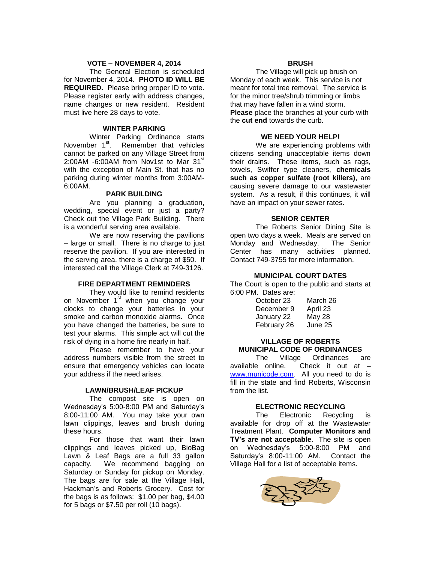#### **VOTE – NOVEMBER 4, 2014**

The General Election is scheduled for November 4, 2014. **PHOTO ID WILL BE REQUIRED.** Please bring proper ID to vote. Please register early with address changes, name changes or new resident. Resident must live here 28 days to vote.

### **WINTER PARKING**

Winter Parking Ordinance starts November 1<sup>st</sup>. Remember that vehicles cannot be parked on any Village Street from 2:00AM -6:00AM from Nov1st to Mar 31<sup>st</sup> with the exception of Main St. that has no parking during winter months from 3:00AM-6:00AM.

#### **PARK BUILDING**

Are you planning a graduation, wedding, special event or just a party? Check out the Village Park Building. There is a wonderful serving area available.

We are now reserving the pavilions – large or small. There is no charge to just reserve the pavilion. If you are interested in the serving area, there is a charge of \$50. If interested call the Village Clerk at 749-3126.

#### **FIRE DEPARTMENT REMINDERS**

They would like to remind residents on November 1<sup>st</sup> when you change your clocks to change your batteries in your smoke and carbon monoxide alarms. Once you have changed the batteries, be sure to test your alarms. This simple act will cut the risk of dying in a home fire nearly in half.

Please remember to have your address numbers visible from the street to ensure that emergency vehicles can locate your address if the need arises.

#### **LAWN/BRUSH/LEAF PICKUP**

The compost site is open on Wednesday's 5:00-8:00 PM and Saturday's 8:00-11:00 AM. You may take your own lawn clippings, leaves and brush during these hours.

For those that want their lawn clippings and leaves picked up, BioBag Lawn & Leaf Bags are a full 33 gallon capacity. We recommend bagging on Saturday or Sunday for pickup on Monday. The bags are for sale at the Village Hall, Hackman's and Roberts Grocery. Cost for the bags is as follows: \$1.00 per bag, \$4.00 for 5 bags or \$7.50 per roll (10 bags).

#### **BRUSH**

The Village will pick up brush on Monday of each week. This service is not meant for total tree removal. The service is for the minor tree/shrub trimming or limbs that may have fallen in a wind storm. **Please** place the branches at your curb with the **cut end** towards the curb.

### **WE NEED YOUR HELP!**

We are experiencing problems with citizens sending unacceptable items down their drains. These items, such as rags, towels, Swiffer type cleaners, **chemicals such as copper sulfate (root killers)**, are causing severe damage to our wastewater system. As a result, if this continues, it will have an impact on your sewer rates.

### **SENIOR CENTER**

The Roberts Senior Dining Site is open two days a week. Meals are served on Monday and Wednesday. The Senior Center has many activities planned. Contact 749-3755 for more information.

#### **MUNICIPAL COURT DATES**

The Court is open to the public and starts at 6:00 PM. Dates are:

| October 23  | March 26 |
|-------------|----------|
| December 9  | April 23 |
| January 22  | May 28   |
| February 26 | June 25  |

### **VILLAGE OF ROBERTS MUNICIPAL CODE OF ORDINANCES**

The Village Ordinances are available online. Check it out at – [www.municode.com.](http://www.municode.com/) All you need to do is fill in the state and find Roberts, Wisconsin from the list.

### **ELECTRONIC RECYCLING**

The Electronic Recycling is available for drop off at the Wastewater Treatment Plant. **Computer Monitors and TV's are not acceptable**. The site is open on Wednesday's 5:00-8:00 PM and Saturday's 8:00-11:00 AM. Contact the Village Hall for a list of acceptable items.

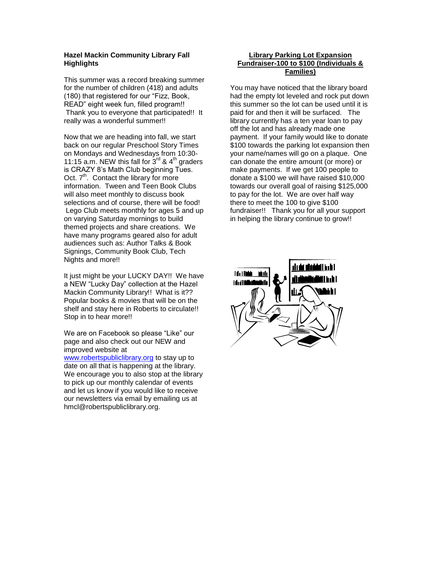### **Hazel Mackin Community Library Fall Highlights**

This summer was a record breaking summer for the number of children (418) and adults (180) that registered for our "Fizz, Book, READ" eight week fun, filled program!! Thank you to everyone that participated!! It really was a wonderful summer!!

Now that we are heading into fall, we start back on our regular Preschool Story Times on Mondays and Wednesdays from 10:30- 11:15 a.m. NEW this fall for  $3^{rd}$  & 4<sup>th</sup> graders is CRAZY 8's Math Club beginning Tues. Oct.  $7<sup>th</sup>$ . Contact the library for more information. Tween and Teen Book Clubs will also meet monthly to discuss book selections and of course, there will be food! Lego Club meets monthly for ages 5 and up on varying Saturday mornings to build themed projects and share creations. We have many programs geared also for adult audiences such as: Author Talks & Book Signings, Community Book Club, Tech Nights and more!!

It just might be your LUCKY DAY!! We have a NEW "Lucky Day" collection at the Hazel Mackin Community Library!! What is it?? Popular books & movies that will be on the shelf and stay here in Roberts to circulate!! Stop in to hear more!!

We are on Facebook so please "Like" our page and also check out our NEW and improved website at

[www.robertspubliclibrary.org](http://www.robertspubliclibrary.org/) to stay up to date on all that is happening at the library. We encourage you to also stop at the library to pick up our monthly calendar of events and let us know if you would like to receive our newsletters via email by emailing us at hmcl@robertspubliclibrary.org.

### **Library Parking Lot Expansion Fundraiser-100 to \$100 (Individuals & Families)**

You may have noticed that the library board had the empty lot leveled and rock put down this summer so the lot can be used until it is paid for and then it will be surfaced. The library currently has a ten year loan to pay off the lot and has already made one payment. If your family would like to donate \$100 towards the parking lot expansion then your name/names will go on a plaque. One can donate the entire amount (or more) or make payments. If we get 100 people to donate a \$100 we will have raised \$10,000 towards our overall goal of raising \$125,000 to pay for the lot. We are over half way there to meet the 100 to give \$100 fundraiser!! Thank you for all your support in helping the library continue to grow!!